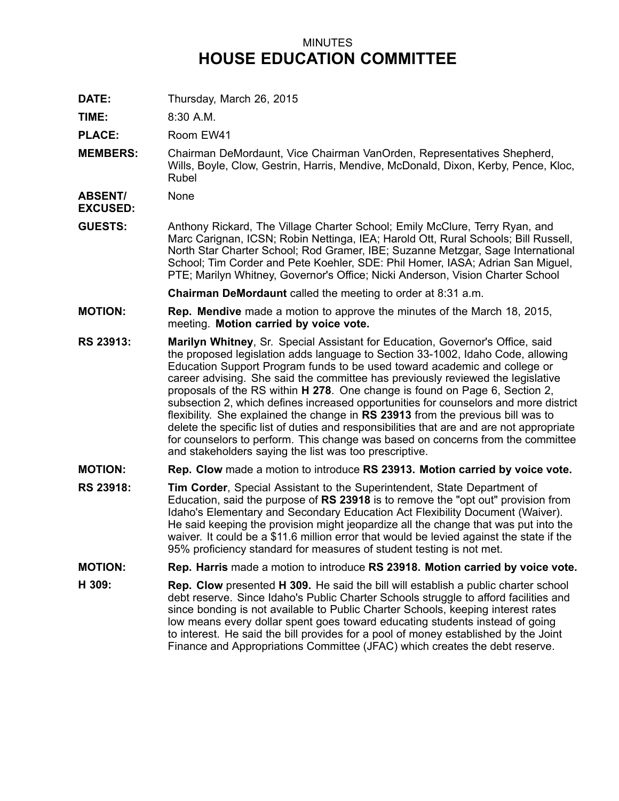## MINUTES **HOUSE EDUCATION COMMITTEE**

**DATE:** Thursday, March 26, 2015

**TIME:** 8:30 A.M.

PLACE: Room EW41

**MEMBERS:** Chairman DeMordaunt, Vice Chairman VanOrden, Representatives Shepherd, Wills, Boyle, Clow, Gestrin, Harris, Mendive, McDonald, Dixon, Kerby, Pence, Kloc, Rubel

**ABSENT/** None

**EXCUSED:**

**GUESTS:** Anthony Rickard, The Village Charter School; Emily McClure, Terry Ryan, and Marc Carignan, ICSN; Robin Nettinga, IEA; Harold Ott, Rural Schools; Bill Russell, North Star Charter School; Rod Gramer, IBE; Suzanne Metzgar, Sage International School; Tim Corder and Pete Koehler, SDE: Phil Homer, IASA; Adrian San Miguel, PTE; Marilyn Whitney, Governor's Office; Nicki Anderson, Vision Charter School

**Chairman DeMordaunt** called the meeting to order at 8:31 a.m.

- **MOTION: Rep. Mendive** made <sup>a</sup> motion to approve the minutes of the March 18, 2015, meeting. **Motion carried by voice vote.**
- **RS 23913: Marilyn Whitney**, Sr. Special Assistant for Education, Governor's Office, said the proposed legislation adds language to Section 33-1002, Idaho Code, allowing Education Support Program funds to be used toward academic and college or career advising. She said the committee has previously reviewed the legislative proposals of the RS within **H 278**. One change is found on Page 6, Section 2, subsection 2, which defines increased opportunities for counselors and more district flexibility. She explained the change in **RS 23913** from the previous bill was to delete the specific list of duties and responsibilities that are and are not appropriate for counselors to perform. This change was based on concerns from the committee and stakeholders saying the list was too prescriptive.
- **MOTION: Rep. Clow** made <sup>a</sup> motion to introduce **RS 23913. Motion carried by voice vote.**
- **RS 23918: Tim Corder**, Special Assistant to the Superintendent, State Department of Education, said the purpose of **RS 23918** is to remove the "opt out" provision from Idaho's Elementary and Secondary Education Act Flexibility Document (Waiver). He said keeping the provision might jeopardize all the change that was put into the waiver. It could be <sup>a</sup> \$11.6 million error that would be levied against the state if the 95% proficiency standard for measures of student testing is not met.
- **MOTION: Rep. Harris** made <sup>a</sup> motion to introduce **RS 23918. Motion carried by voice vote.**
- **H 309: Rep. Clow** presented **H 309.** He said the bill will establish <sup>a</sup> public charter school debt reserve. Since Idaho's Public Charter Schools struggle to afford facilities and since bonding is not available to Public Charter Schools, keeping interest rates low means every dollar spent goes toward educating students instead of going to interest. He said the bill provides for <sup>a</sup> pool of money established by the Joint Finance and Appropriations Committee (JFAC) which creates the debt reserve.